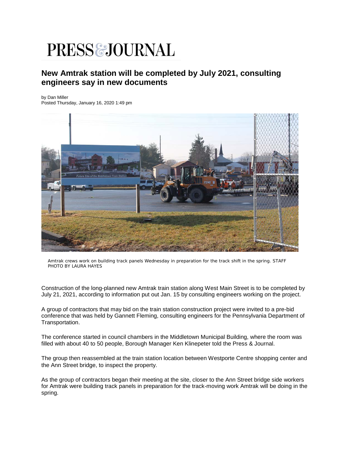## PRESS & JOURNAL

## **New Amtrak station will be completed by July 2021, consulting engineers say in new documents**

by Dan Miller

Posted Thursday, January 16, 2020 1:49 pm



Amtrak crews work on building track panels Wednesday in preparation for the track shift in the spring. STAFF PHOTO BY LAURA HAYES

Construction of the long-planned new Amtrak train station along West Main Street is to be completed by July 21, 2021, according to information put out Jan. 15 by consulting engineers working on the project.

A group of contractors that may bid on the train station construction project were invited to a pre-bid conference that was held by Gannett Fleming, consulting engineers for the Pennsylvania Department of Transportation.

The conference started in council chambers in the Middletown Municipal Building, where the room was filled with about 40 to 50 people, Borough Manager Ken Klinepeter told the Press & Journal.

The group then reassembled at the train station location between Westporte Centre shopping center and the Ann Street bridge, to inspect the property.

As the group of contractors began their meeting at the site, closer to the Ann Street bridge side workers for Amtrak were building track panels in preparation for the track-moving work Amtrak will be doing in the spring.